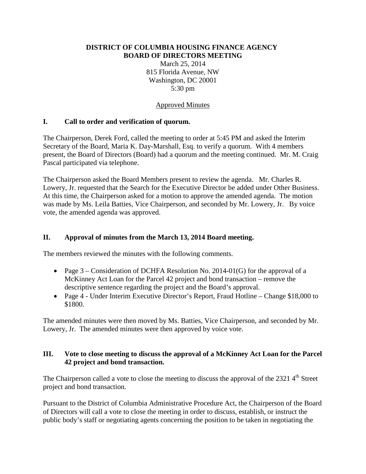#### **DISTRICT OF COLUMBIA HOUSING FINANCE AGENCY BOARD OF DIRECTORS MEETING**

March 25, 2014 815 Florida Avenue, NW Washington, DC 20001 5:30 pm

#### Approved Minutes

### **I. Call to order and verification of quorum.**

The Chairperson, Derek Ford, called the meeting to order at 5:45 PM and asked the Interim Secretary of the Board, Maria K. Day-Marshall, Esq. to verify a quorum. With 4 members present, the Board of Directors (Board) had a quorum and the meeting continued. Mr. M. Craig Pascal participated via telephone.

The Chairperson asked the Board Members present to review the agenda. Mr. Charles R. Lowery, Jr. requested that the Search for the Executive Director be added under Other Business. At this time, the Chairperson asked for a motion to approve the amended agenda. The motion was made by Ms. Leila Batties, Vice Chairperson, and seconded by Mr. Lowery, Jr. By voice vote, the amended agenda was approved.

#### **II. Approval of minutes from the March 13, 2014 Board meeting.**

The members reviewed the minutes with the following comments.

- Page  $3$  Consideration of DCHFA Resolution No. 2014-01(G) for the approval of a McKinney Act Loan for the Parcel 42 project and bond transaction – remove the descriptive sentence regarding the project and the Board's approval.
- Page 4 Under Interim Executive Director's Report, Fraud Hotline Change \$18,000 to \$1800.

The amended minutes were then moved by Ms. Batties, Vice Chairperson, and seconded by Mr. Lowery, Jr. The amended minutes were then approved by voice vote.

#### **III. Vote to close meeting to discuss the approval of a McKinney Act Loan for the Parcel 42 project and bond transaction.**

The Chairperson called a vote to close the meeting to discuss the approval of the 2321 4<sup>th</sup> Street project and bond transaction.

Pursuant to the District of Columbia Administrative Procedure Act, the Chairperson of the Board of Directors will call a vote to close the meeting in order to discuss, establish, or instruct the public body's staff or negotiating agents concerning the position to be taken in negotiating the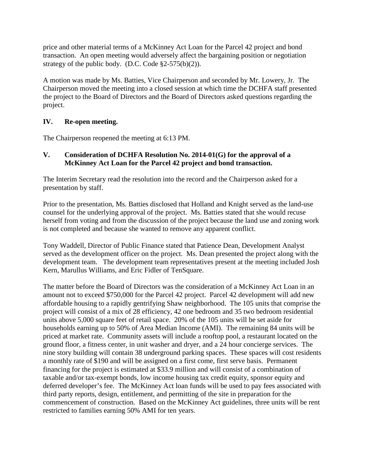price and other material terms of a McKinney Act Loan for the Parcel 42 project and bond transaction. An open meeting would adversely affect the bargaining position or negotiation strategy of the public body. (D.C. Code  $\S2-575(b)(2)$ ).

A motion was made by Ms. Batties, Vice Chairperson and seconded by Mr. Lowery, Jr. The Chairperson moved the meeting into a closed session at which time the DCHFA staff presented the project to the Board of Directors and the Board of Directors asked questions regarding the project.

# **IV. Re-open meeting.**

The Chairperson reopened the meeting at 6:13 PM.

## **V. Consideration of DCHFA Resolution No. 2014-01(G) for the approval of a McKinney Act Loan for the Parcel 42 project and bond transaction.**

The Interim Secretary read the resolution into the record and the Chairperson asked for a presentation by staff.

Prior to the presentation, Ms. Batties disclosed that Holland and Knight served as the land-use counsel for the underlying approval of the project. Ms. Batties stated that she would recuse herself from voting and from the discussion of the project because the land use and zoning work is not completed and because she wanted to remove any apparent conflict.

Tony Waddell, Director of Public Finance stated that Patience Dean, Development Analyst served as the development officer on the project. Ms. Dean presented the project along with the development team. The development team representatives present at the meeting included Josh Kern, Marullus Williams, and Eric Fidler of TenSquare.

The matter before the Board of Directors was the consideration of a McKinney Act Loan in an amount not to exceed \$750,000 for the Parcel 42 project. Parcel 42 development will add new affordable housing to a rapidly gentrifying Shaw neighborhood. The 105 units that comprise the project will consist of a mix of 28 efficiency, 42 one bedroom and 35 two bedroom residential units above 5,000 square feet of retail space. 20% of the 105 units will be set aside for households earning up to 50% of Area Median Income (AMI). The remaining 84 units will be priced at market rate. Community assets will include a rooftop pool, a restaurant located on the ground floor, a fitness center, in unit washer and dryer, and a 24 hour concierge services. The nine story building will contain 38 underground parking spaces. These spaces will cost residents a monthly rate of \$190 and will be assigned on a first come, first serve basis. Permanent financing for the project is estimated at \$33.9 million and will consist of a combination of taxable and/or tax-exempt bonds, low income housing tax credit equity, sponsor equity and deferred developer's fee. The McKinney Act loan funds will be used to pay fees associated with third party reports, design, entitlement, and permitting of the site in preparation for the commencement of construction. Based on the McKinney Act guidelines, three units will be rent restricted to families earning 50% AMI for ten years.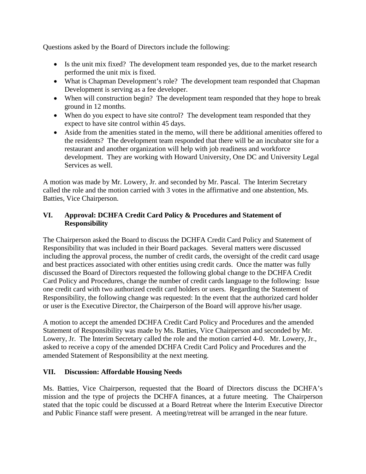Questions asked by the Board of Directors include the following:

- Is the unit mix fixed? The development team responded yes, due to the market research performed the unit mix is fixed.
- What is Chapman Development's role? The development team responded that Chapman Development is serving as a fee developer.
- When will construction begin? The development team responded that they hope to break ground in 12 months.
- When do you expect to have site control? The development team responded that they expect to have site control within 45 days.
- Aside from the amenities stated in the memo, will there be additional amenities offered to the residents? The development team responded that there will be an incubator site for a restaurant and another organization will help with job readiness and workforce development. They are working with Howard University, One DC and University Legal Services as well.

A motion was made by Mr. Lowery, Jr. and seconded by Mr. Pascal. The Interim Secretary called the role and the motion carried with 3 votes in the affirmative and one abstention, Ms. Batties, Vice Chairperson.

## **VI. Approval: DCHFA Credit Card Policy & Procedures and Statement of Responsibility**

The Chairperson asked the Board to discuss the DCHFA Credit Card Policy and Statement of Responsibility that was included in their Board packages. Several matters were discussed including the approval process, the number of credit cards, the oversight of the credit card usage and best practices associated with other entities using credit cards. Once the matter was fully discussed the Board of Directors requested the following global change to the DCHFA Credit Card Policy and Procedures, change the number of credit cards language to the following: Issue one credit card with two authorized credit card holders or users. Regarding the Statement of Responsibility, the following change was requested: In the event that the authorized card holder or user is the Executive Director, the Chairperson of the Board will approve his/her usage.

A motion to accept the amended DCHFA Credit Card Policy and Procedures and the amended Statement of Responsibility was made by Ms. Batties, Vice Chairperson and seconded by Mr. Lowery, Jr. The Interim Secretary called the role and the motion carried 4-0. Mr. Lowery, Jr., asked to receive a copy of the amended DCHFA Credit Card Policy and Procedures and the amended Statement of Responsibility at the next meeting.

### **VII. Discussion: Affordable Housing Needs**

Ms. Batties, Vice Chairperson, requested that the Board of Directors discuss the DCHFA's mission and the type of projects the DCHFA finances, at a future meeting. The Chairperson stated that the topic could be discussed at a Board Retreat where the Interim Executive Director and Public Finance staff were present. A meeting/retreat will be arranged in the near future.